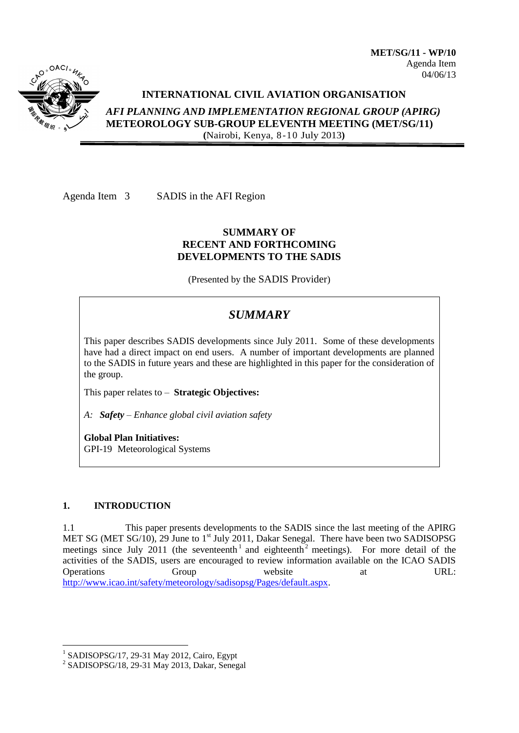

# **INTERNATIONAL CIVIL AVIATION ORGANISATION**

*AFI PLANNING AND IMPLEMENTATION REGIONAL GROUP (APIRG)* **METEOROLOGY SUB-GROUP ELEVENTH MEETING (MET/SG/11) (**Nairobi, Kenya, 8-10 July 2013**)**

Agenda Item 3 SADIS in the AFI Region

# **SUMMARY OF RECENT AND FORTHCOMING DEVELOPMENTS TO THE SADIS**

(Presented by the SADIS Provider)

# *SUMMARY*

This paper describes SADIS developments since July 2011. Some of these developments have had a direct impact on end users. A number of important developments are planned to the SADIS in future years and these are highlighted in this paper for the consideration of the group.

This paper relates to – **Strategic Objectives:**

*A: Safety – Enhance global civil aviation safety*

**Global Plan Initiatives:** GPI-19 Meteorological Systems

# **1. INTRODUCTION**

1

1.1 This paper presents developments to the SADIS since the last meeting of the APIRG MET SG (MET SG/10), 29 June to 1<sup>st</sup> July 2011, Dakar Senegal. There have been two SADISOPSG meetings since July 2011 (the seventeenth<sup>1</sup> and eighteenth<sup>2</sup> meetings). For more detail of the activities of the SADIS, users are encouraged to review information available on the ICAO SADIS Operations Group website at URL: [http://www.icao.int/safety/meteorology/sadisopsg/Pages/default.aspx.](http://www.icao.int/safety/meteorology/sadisopsg/Pages/default.aspx)

<sup>1</sup> SADISOPSG/17, 29-31 May 2012, Cairo, Egypt

<sup>2</sup> SADISOPSG/18, 29-31 May 2013, Dakar, Senegal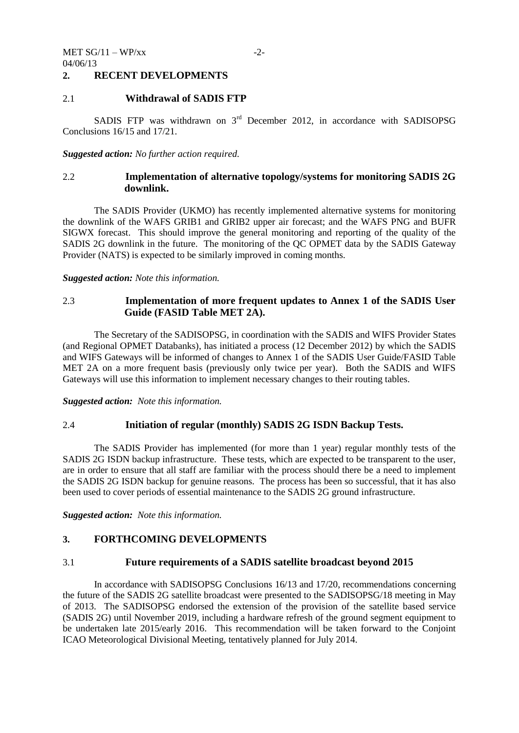## **2. RECENT DEVELOPMENTS**

## 2.1 **Withdrawal of SADIS FTP**

SADIS FTP was withdrawn on  $3<sup>rd</sup>$  December 2012, in accordance with SADISOPSG Conclusions 16/15 and 17/21.

#### *Suggested action: No further action required.*

# 2.2 **Implementation of alternative topology/systems for monitoring SADIS 2G downlink.**

The SADIS Provider (UKMO) has recently implemented alternative systems for monitoring the downlink of the WAFS GRIB1 and GRIB2 upper air forecast; and the WAFS PNG and BUFR SIGWX forecast. This should improve the general monitoring and reporting of the quality of the SADIS 2G downlink in the future. The monitoring of the QC OPMET data by the SADIS Gateway Provider (NATS) is expected to be similarly improved in coming months.

#### *Suggested action: Note this information.*

# 2.3 **Implementation of more frequent updates to Annex 1 of the SADIS User Guide (FASID Table MET 2A).**

The Secretary of the SADISOPSG, in coordination with the SADIS and WIFS Provider States (and Regional OPMET Databanks), has initiated a process (12 December 2012) by which the SADIS and WIFS Gateways will be informed of changes to Annex 1 of the SADIS User Guide/FASID Table MET 2A on a more frequent basis (previously only twice per year). Both the SADIS and WIFS Gateways will use this information to implement necessary changes to their routing tables.

*Suggested action: Note this information.*

#### 2.4 **Initiation of regular (monthly) SADIS 2G ISDN Backup Tests.**

The SADIS Provider has implemented (for more than 1 year) regular monthly tests of the SADIS 2G ISDN backup infrastructure. These tests, which are expected to be transparent to the user, are in order to ensure that all staff are familiar with the process should there be a need to implement the SADIS 2G ISDN backup for genuine reasons. The process has been so successful, that it has also been used to cover periods of essential maintenance to the SADIS 2G ground infrastructure.

*Suggested action: Note this information.*

# **3. FORTHCOMING DEVELOPMENTS**

#### 3.1 **Future requirements of a SADIS satellite broadcast beyond 2015**

In accordance with SADISOPSG Conclusions 16/13 and 17/20, recommendations concerning the future of the SADIS 2G satellite broadcast were presented to the SADISOPSG/18 meeting in May of 2013. The SADISOPSG endorsed the extension of the provision of the satellite based service (SADIS 2G) until November 2019, including a hardware refresh of the ground segment equipment to be undertaken late 2015/early 2016. This recommendation will be taken forward to the Conjoint ICAO Meteorological Divisional Meeting, tentatively planned for July 2014.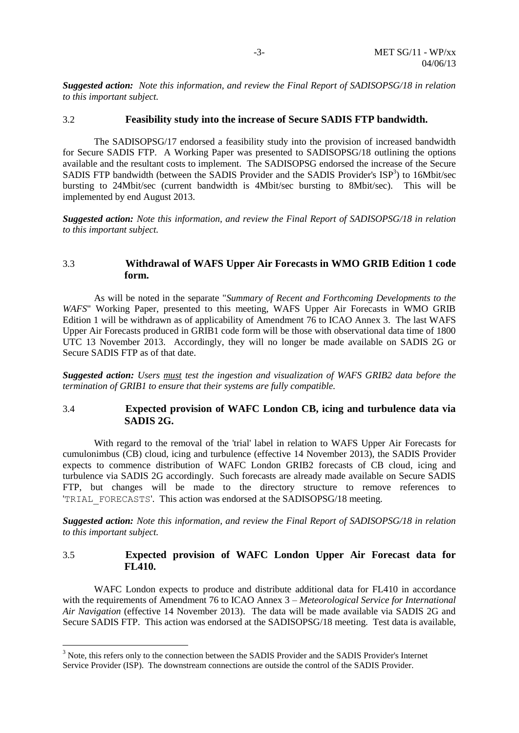*Suggested action: Note this information, and review the Final Report of SADISOPSG/18 in relation to this important subject.*

#### 3.2 **Feasibility study into the increase of Secure SADIS FTP bandwidth.**

The SADISOPSG/17 endorsed a feasibility study into the provision of increased bandwidth for Secure SADIS FTP. A Working Paper was presented to SADISOPSG/18 outlining the options available and the resultant costs to implement. The SADISOPSG endorsed the increase of the Secure SADIS FTP bandwidth (between the SADIS Provider and the SADIS Provider's  $ISP^3$ ) to 16Mbit/sec bursting to 24Mbit/sec (current bandwidth is 4Mbit/sec bursting to 8Mbit/sec). This will be implemented by end August 2013.

*Suggested action: Note this information, and review the Final Report of SADISOPSG/18 in relation to this important subject.*

# 3.3 **Withdrawal of WAFS Upper Air Forecasts in WMO GRIB Edition 1 code form.**

As will be noted in the separate "*Summary of Recent and Forthcoming Developments to the WAFS*" Working Paper, presented to this meeting, WAFS Upper Air Forecasts in WMO GRIB Edition 1 will be withdrawn as of applicability of Amendment 76 to ICAO Annex 3. The last WAFS Upper Air Forecasts produced in GRIB1 code form will be those with observational data time of 1800 UTC 13 November 2013. Accordingly, they will no longer be made available on SADIS 2G or Secure SADIS FTP as of that date.

*Suggested action: Users must test the ingestion and visualization of WAFS GRIB2 data before the termination of GRIB1 to ensure that their systems are fully compatible.*

## 3.4 **Expected provision of WAFC London CB, icing and turbulence data via SADIS 2G.**

With regard to the removal of the 'trial' label in relation to WAFS Upper Air Forecasts for cumulonimbus (CB) cloud, icing and turbulence (effective 14 November 2013), the SADIS Provider expects to commence distribution of WAFC London GRIB2 forecasts of CB cloud, icing and turbulence via SADIS 2G accordingly. Such forecasts are already made available on Secure SADIS FTP, but changes will be made to the directory structure to remove references to 'TRIAL\_FORECASTS'. This action was endorsed at the SADISOPSG/18 meeting.

*Suggested action: Note this information, and review the Final Report of SADISOPSG/18 in relation to this important subject.*

# 3.5 **Expected provision of WAFC London Upper Air Forecast data for FL410.**

WAFC London expects to produce and distribute additional data for FL410 in accordance with the requirements of Amendment 76 to ICAO Annex 3 – *Meteorological Service for International Air Navigation* (effective 14 November 2013). The data will be made available via SADIS 2G and Secure SADIS FTP. This action was endorsed at the SADISOPSG/18 meeting. Test data is available,

1

<sup>&</sup>lt;sup>3</sup> Note, this refers only to the connection between the SADIS Provider and the SADIS Provider's Internet Service Provider (ISP). The downstream connections are outside the control of the SADIS Provider.